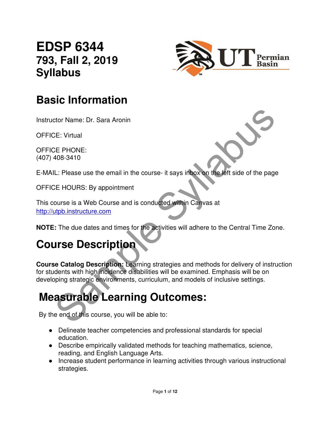### **EDSP 6344 793, Fall 2, 2019 Syllabus**



### **Basic Information**

Instructor Name: Dr. Sara Aronin

OFFICE: Virtual

OFFICE PHONE: (407) 408-3410

E-MAIL: Please use the email in the course- it says inbox on the left side of the page

OFFICE HOURS: By appointment

This course is a Web Course and is conducted within Canvas at http://utpb.instructure.com

**NOTE:** The due dates and times for the activities will adhere to the Central Time Zone.

### **Course Description**

SCONDING: Dease use the email in the course-it says inhoxe on the left side of the page<br>SE PHONE:<br>IL: Please use the email in the course-it says inhoxe on the left side of the page<br>DE HOURS: By appointment<br>ourse is a Web C **Course Catalog Description:** Learning strategies and methods for delivery of instruction for students with high incidence disabilities will be examined. Emphasis will be on developing strategic environments, curriculum, and models of inclusive settings.

## **Measurable Learning Outcomes:**

By the end of this course, you will be able to:

- Delineate teacher competencies and professional standards for special education.
- Describe empirically validated methods for teaching mathematics, science, reading, and English Language Arts.
- Increase student performance in learning activities through various instructional strategies.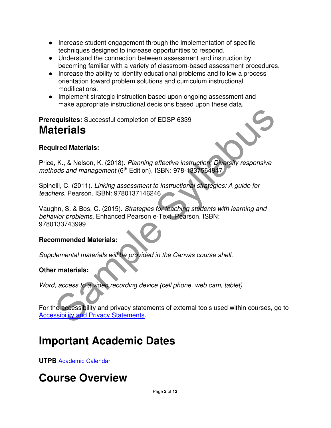- Increase student engagement through the implementation of specific techniques designed to increase opportunities to respond.
- Understand the connection between assessment and instruction by becoming familiar with a variety of classroom-based assessment procedures.
- Increase the ability to identify educational problems and follow a process orientation toward problem solutions and curriculum instructional modifications.
- Implement strategic instruction based upon ongoing assessment and make appropriate instructional decisions based upon these data.

**Prerequisites:** Successful completion of EDSP 6339 **Materials** 

#### **Required Materials:**

Price, K., & Nelson, K. (2018). Planning effective instruction: Diversity responsive methods and management (6<sup>th</sup> Edition). ISBN: 978-1337564847

Spinelli, C. (2011). Linking assessment to instructional strategies: A guide for teachers. Pearson. ISBN: 9780137146246

**Example Syllence Syllabuse Syllence Syllabuse Syllence Syllence Syllence Syllence Materials:**<br>
Sample Materials:<br>
Simple Materials:<br>
Shell, C. (2011). *Linking assessment to instructional strategies: A guide for*<br>
Illi, C Vaughn, S. & Bos, C. (2015). Strategies for teaching students with learning and behavior problems, Enhanced Pearson e-Text. Pearson. ISBN: 9780133743999

#### **Recommended Materials:**

Supplemental materials will be provided in the Canvas course shell.

#### **Other materials:**

Word, access to a video recording device (cell phone, web cam, tablet)

For the accessibility and privacy statements of external tools used within courses, go to Accessibility and Privacy Statements.

### **Important Academic Dates**

**UTPB** Academic Calendar

## **Course Overview**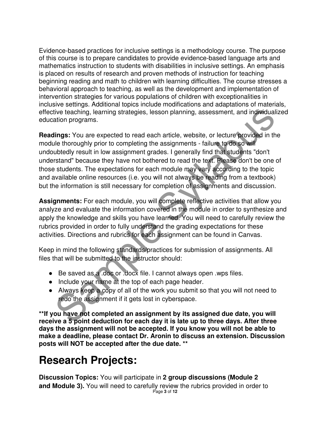Evidence-based practices for inclusive settings is a methodology course. The purpose of this course is to prepare candidates to provide evidence-based language arts and mathematics instruction to students with disabilities in inclusive settings. An emphasis is placed on results of research and proven methods of instruction for teaching beginning reading and math to children with learning difficulties. The course stresses a behavioral approach to teaching, as well as the development and implementation of intervention strategies for various populations of children with exceptionalities in inclusive settings. Additional topics include modifications and adaptations of materials, effective teaching, learning strategies, lesson planning, assessment, and individualized education programs.

tive teaching, learning strategies, lesson planning, assessment, and individualization programs.<br> **Elings:** You are expected to read each article, website, or lecture provided in the<br>
lubtedly result in low assignment grad **Readings:** You are expected to read each article, website, or lecture provided in the module thoroughly prior to completing the assignments - failure to do so will undoubtedly result in low assignment grades. I generally find that students "don't understand" because they have not bothered to read the text. Please don't be one of those students. The expectations for each module may vary according to the topic and available online resources (i.e. you will not always be reading from a textbook) but the information is still necessary for completion of assignments and discussion.

**Assignments:** For each module, you will complete reflective activities that allow you analyze and evaluate the information covered in the module in order to synthesize and apply the knowledge and skills you have learned. You will need to carefully review the rubrics provided in order to fully understand the grading expectations for these activities. Directions and rubrics for each assignment can be found in Canvas.

Keep in mind the following standards/practices for submission of assignments. All files that will be submitted to the instructor should:

- Be saved as a .doc or .docx file. I cannot always open .wps files.
- Include your name at the top of each page header.
- Always keep a copy of all of the work you submit so that you will not need to redo the assignment if it gets lost in cyberspace.

**\*\*If you have not completed an assignment by its assigned due date, you will receive a 5 point deduction for each day it is late up to three days. After three days the assignment will not be accepted. If you know you will not be able to make a deadline, please contact Dr. Aronin to discuss an extension. Discussion posts will NOT be accepted after the due date. \*\*** 

### **Research Projects:**

Page **3** of **12 Discussion Topics:** You will participate in **2 group discussions (Module 2 and Module 3).** You will need to carefully review the rubrics provided in order to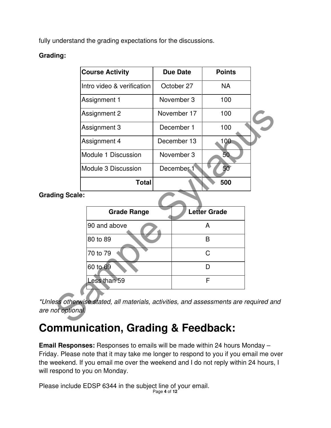fully understand the grading expectations for the discussions.

#### **Grading:**

| <b>Course Activity</b>                                                            | <b>Due Date</b> | <b>Points</b> |  |
|-----------------------------------------------------------------------------------|-----------------|---------------|--|
| Intro video & verification                                                        | October 27      | <b>NA</b>     |  |
| Assignment 1                                                                      | November 3      | 100           |  |
| Assignment 2                                                                      | November 17     | 100           |  |
| Assignment 3                                                                      | December 1      | 100           |  |
| Assignment 4                                                                      | December 13     | 100           |  |
| Module 1 Discussion                                                               | November 3      | 50            |  |
| Module 3 Discussion                                                               | December 1      | 50            |  |
| <b>Total</b>                                                                      |                 | 500           |  |
| ing Scale:                                                                        |                 |               |  |
| <b>Grade Range</b>                                                                |                 | Letter Grade  |  |
| 90 and above                                                                      |                 | A             |  |
| 80 to 89                                                                          |                 | B             |  |
| 70 to 79                                                                          |                 | C             |  |
| 60 to 69                                                                          |                 | D             |  |
| Less than 59                                                                      |                 | F             |  |
| ess otherwise stated, all materials, activities, and assessments are required and |                 |               |  |
| ot optional.                                                                      |                 |               |  |

**Grading Scale:** 

| <b>Grade Range</b> | <b>Letter Grade</b> |
|--------------------|---------------------|
| 90 and above       | А                   |
| 80 to 89           | R                   |
| 70 to 79           | C.                  |
| 60 to 69           |                     |
| Less than 59       |                     |
|                    |                     |

\*Unless otherwise stated, all materials, activities, and assessments are required and are not optional.

## **Communication, Grading & Feedback:**

**Email Responses:** Responses to emails will be made within 24 hours Monday – Friday. Please note that it may take me longer to respond to you if you email me over the weekend. If you email me over the weekend and I do not reply within 24 hours, I will respond to you on Monday.

Please include EDSP 6344 in the subject line of your email.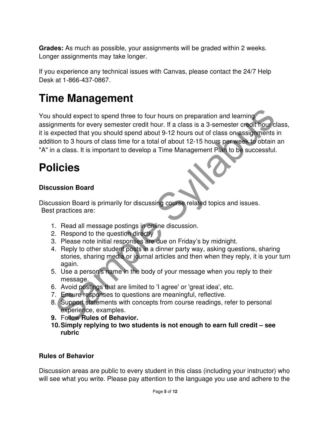**Grades:** As much as possible, your assignments will be graded within 2 weeks. Longer assignments may take longer.

If you experience any technical issues with Canvas, please contact the 24/7 Help Desk at 1-866-437-0867.

### **Time Management**

Should expect to spend three to four hours on preparation and learning<br>
internation for every semester credit hour. If a class is a 3-semester credit hour class<br>
into to 3 hours of class time for a total of about 12-15 hou You should expect to spend three to four hours on preparation and learning assignments for every semester credit hour. If a class is a 3-semester credit hour class, it is expected that you should spend about 9-12 hours out of class on assignments in addition to 3 hours of class time for a total of about 12-15 hours per week to obtain an "A" in a class. It is important to develop a Time Management Plan to be successful.

### **Policies**

#### **Discussion Board**

Discussion Board is primarily for discussing course related topics and issues. Best practices are:

- 1. Read all message postings in online discussion.
- 2. Respond to the question directly
- 3. Please note initial responses are due on Friday's by midnight.
- 4. Reply to other student posts in a dinner party way, asking questions, sharing stories, sharing media or journal articles and then when they reply, it is your turn again.
- 5. Use a person's name in the body of your message when you reply to their message.
- 6. Avoid postings that are limited to 'I agree' or 'great idea', etc.
- 7. Ensure responses to questions are meaningful, reflective.
- 8. Support statements with concepts from course readings, refer to personal experience, examples.
- **9.** Follow **Rules of Behavior.**
- **10. Simply replying to two students is not enough to earn full credit see rubric**

#### **Rules of Behavior**

Discussion areas are public to every student in this class (including your instructor) who will see what you write. Please pay attention to the language you use and adhere to the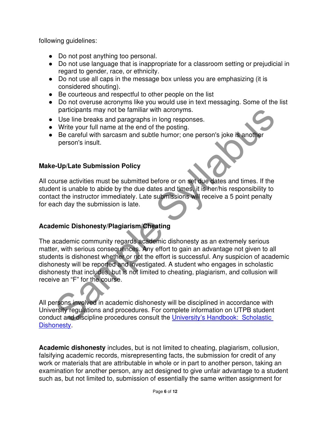following guidelines:

- Do not post anything too personal.
- Do not use language that is inappropriate for a classroom setting or prejudicial in regard to gender, race, or ethnicity.
- Do not use all caps in the message box unless you are emphasizing (it is considered shouting).
- Be courteous and respectful to other people on the list
- Do not overuse acronyms like you would use in text messaging. Some of the list participants may not be familiar with acronyms.
- Use line breaks and paragraphs in long responses.
- Write your full name at the end of the posting.
- Be careful with sarcasm and subtle humor; one person's joke is another person's insult.

#### **Make-Up/Late Submission Policy**

All course activities must be submitted before or on set due dates and times. If the student is unable to abide by the due dates and times, it is her/his responsibility to contact the instructor immediately. Late submissions will receive a 5 point penalty for each day the submission is late.

#### **Academic Dishonesty/Plagiarism/Cheating**

participants may not be familiar with acronyms.<br>
Use line breaks and paragraphs in long responses.<br>
Write your full name at the end of the posting.<br>
Be careful with sarcasm and subtle humor; one person's joke is another<br>
p The academic community regards academic dishonesty as an extremely serious matter, with serious consequences. Any effort to gain an advantage not given to all students is dishonest whether or not the effort is successful. Any suspicion of academic dishonesty will be reported and investigated. A student who engages in scholastic dishonesty that includes, but is not limited to cheating, plagiarism, and collusion will receive an "F" for the course.

All persons involved in academic dishonesty will be disciplined in accordance with University regulations and procedures. For complete information on UTPB student conduct and discipline procedures consult the University's Handbook: Scholastic **Dishonesty** 

**Academic dishonesty** includes, but is not limited to cheating, plagiarism, collusion, falsifying academic records, misrepresenting facts, the submission for credit of any work or materials that are attributable in whole or in part to another person, taking an examination for another person, any act designed to give unfair advantage to a student such as, but not limited to, submission of essentially the same written assignment for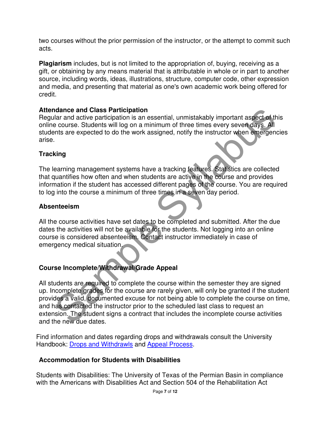two courses without the prior permission of the instructor, or the attempt to commit such acts.

**Plagiarism** includes, but is not limited to the appropriation of, buying, receiving as a gift, or obtaining by any means material that is attributable in whole or in part to another source, including words, ideas, illustrations, structure, computer code, other expression and media, and presenting that material as one's own academic work being offered for credit.

#### **Attendance and Class Participation**

Regular and active participation is an essential, unmistakably important aspect of this online course. Students will log on a minimum of three times every seven days. All students are expected to do the work assigned, notify the instructor when emergencies arise.

#### **Tracking**

The learning management systems have a tracking features. Statistics are collected that quantifies how often and when students are active in the course and provides information if the student has accessed different pages of the course. You are required to log into the course a minimum of three times in a seven day period.

#### **Absenteeism**

All the course activities have set dates to be completed and submitted. After the due dates the activities will not be available for the students. Not logging into an online course is considered absenteeism. Contact instructor immediately in case of emergency medical situation.

#### **Course Incomplete/Withdrawal/Grade Appeal**

**Idance and Class Participation**<br>Idance and Class Participation is an essential, unmistakably important aspect of this<br>e course. Students will log on a minimum of three times every seven days. All<br>exacuse Students will log All students are required to complete the course within the semester they are signed up. Incomplete grades for the course are rarely given, will only be granted if the student provides a valid, documented excuse for not being able to complete the course on time, and has contacted the instructor prior to the scheduled last class to request an extension. The student signs a contract that includes the incomplete course activities and the new due dates.

Find information and dates regarding drops and withdrawals consult the University Handbook: Drops and Withdrawls and Appeal Process.

#### **Accommodation for Students with Disabilities**

Students with Disabilities: The University of Texas of the Permian Basin in compliance with the Americans with Disabilities Act and Section 504 of the Rehabilitation Act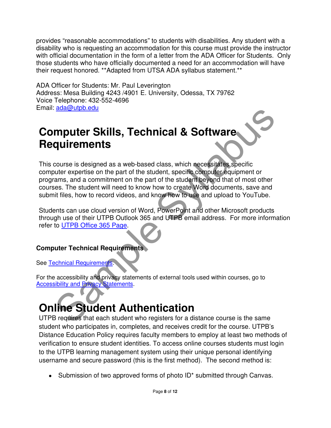provides "reasonable accommodations" to students with disabilities. Any student with a disability who is requesting an accommodation for this course must provide the instructor with official documentation in the form of a letter from the ADA Officer for Students. Only those students who have officially documented a need for an accommodation will have their request honored. \*\*Adapted from UTSA ADA syllabus statement.\*\*

ADA Officer for Students: Mr. Paul Leverington Address: Mesa Building 4243 /4901 E. University, Odessa, TX 79762 Voice Telephone: 432-552-4696 Email: ada@utpb.edu

### **Computer Skills, Technical & Software Requirements**

**Example Syllabuse Syllabuse Syllabuse Syllabuse Syllabuse Syllabuse Syllabuse Syllabuse Syllabuse Syllabuse Syllabuse Syllabuse Syllabuse Syllabuse Syllabuse Syllabuse Syllabuse Syllabuse Syllabuse Syllabuse Syllabuse Syl** This course is designed as a web-based class, which necessitates specific computer expertise on the part of the student, specific computer equipment or programs, and a commitment on the part of the student beyond that of most other courses. The student will need to know how to create Word documents, save and submit files, how to record videos, and know how to use and upload to YouTube.

Students can use cloud version of Word, PowerPoint and other Microsoft products through use of their UTPB Outlook 365 and UTPB email address. For more information refer to UTPB Office 365 Page.

#### **Computer Technical Requirements**

**See Technical Requirement** 

For the accessibility and privacy statements of external tools used within courses, go to **Accessibility and Privacy Statements.** 

## **Online Student Authentication**

UTPB requires that each student who registers for a distance course is the same student who participates in, completes, and receives credit for the course. UTPB's Distance Education Policy requires faculty members to employ at least two methods of verification to ensure student identities. To access online courses students must login to the UTPB learning management system using their unique personal identifying username and secure password (this is the first method). The second method is:

• Submission of two approved forms of photo ID<sup>\*</sup> submitted through Canvas.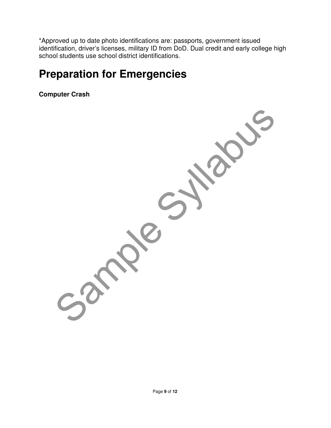\*Approved up to date photo identifications are: passports, government issued identification, driver's licenses, military ID from DoD. Dual credit and early college high school students use school district identifications.

### **Preparation for Emergencies**

**Computer Crash** 

Samples Syllabus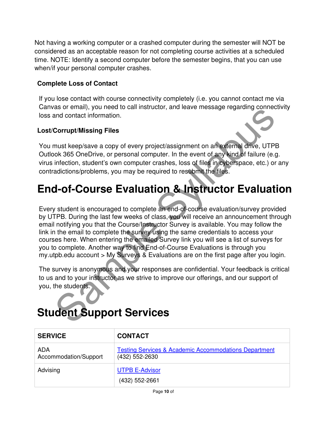Not having a working computer or a crashed computer during the semester will NOT be considered as an acceptable reason for not completing course activities at a scheduled time. NOTE: Identify a second computer before the semester begins, that you can use when/if your personal computer crashes.

#### **Complete Loss of Contact**

If you lose contact with course connectivity completely (i.e. you cannot contact me via Canvas or email), you need to call instructor, and leave message regarding connectivity loss and contact information.

#### **Lost/Corrupt/Missing Files**

You must keep/save a copy of every project/assignment on an external drive, UTPB Outlook 365 OneDrive, or personal computer. In the event of any kind of failure (e.g. virus infection, student's own computer crashes, loss of files in cyberspace, etc.) or any contradictions/problems, you may be required to resubmit the files.

## **End-of-Course Evaluation & Instructor Evaluation**

as of email to contribute the survey of the first page and out fermel and contact information.<br>
The must keep/saw a copy of every project/assignment on an external drive, UTPB<br>
must keep/saw a copy of every project/assignm Every student is encouraged to complete an end-of-course evaluation/survey provided by UTPB. During the last few weeks of class, you will receive an announcement through email notifying you that the Course/Instructor Survey is available. You may follow the link in the email to complete the survey using the same credentials to access your courses here. When entering the emailed Survey link you will see a list of surveys for you to complete. Another way to find End-of-Course Evaluations is through you my.utpb.edu account > My Surveys & Evaluations are on the first page after you login.

The survey is anonymous and your responses are confidential. Your feedback is critical to us and to your instructor as we strive to improve our offerings, and our support of you, the students.

## **Student Support Services**

| <b>SERVICE</b>               | <b>CONTACT</b>                                                                     |
|------------------------------|------------------------------------------------------------------------------------|
| ADA<br>Accommodation/Support | <b>Testing Services &amp; Academic Accommodations Department</b><br>(432) 552-2630 |
| Advising                     | <b>UTPB E-Advisor</b><br>(432) 552-2661                                            |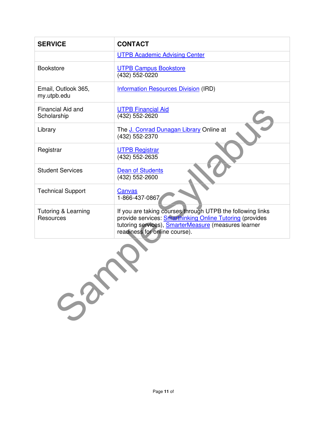| <b>SERVICE</b>                              | <b>CONTACT</b>                                                                                                                                                                                                         |  |  |
|---------------------------------------------|------------------------------------------------------------------------------------------------------------------------------------------------------------------------------------------------------------------------|--|--|
|                                             | <b>UTPB Academic Advising Center</b>                                                                                                                                                                                   |  |  |
| <b>Bookstore</b>                            | <b>UTPB Campus Bookstore</b><br>(432) 552-0220                                                                                                                                                                         |  |  |
| Email, Outlook 365,<br>my.utpb.edu          | <b>Information Resources Division (IRD)</b>                                                                                                                                                                            |  |  |
| Financial Aid and<br>Scholarship            | <b>UTPB Financial Aid</b><br>(432) 552-2620                                                                                                                                                                            |  |  |
| Library                                     | The J. Conrad Dunagan Library Online at<br>(432) 552-2370                                                                                                                                                              |  |  |
| Registrar                                   | <b>UTPB Registrar</b><br>(432) 552-2635                                                                                                                                                                                |  |  |
| <b>Student Services</b>                     | <b>Dean of Students</b><br>(432) 552-2600                                                                                                                                                                              |  |  |
| <b>Technical Support</b>                    | Canvas<br>1-866-437-0867                                                                                                                                                                                               |  |  |
| <b>Tutoring &amp; Learning</b><br>Resources | If you are taking courses through UTPB the following links<br>provide services: <b>Smarthinking Online Tutoring</b> (provides<br>tutoring services), SmarterMeasure (measures learner<br>readiness for online course). |  |  |
| $S^{2}$                                     |                                                                                                                                                                                                                        |  |  |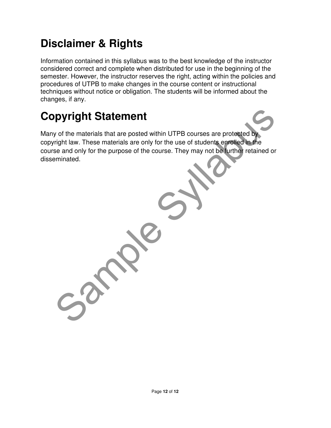## **Disclaimer & Rights**

Information contained in this syllabus was to the best knowledge of the instructor considered correct and complete when distributed for use in the beginning of the semester. However, the instructor reserves the right, acting within the policies and procedures of UTPB to make changes in the course content or instructional techniques without notice or obligation. The students will be informed about the changes, if any.

## **Copyright Statement**

pyright Statement<br>y of the materials that are posted within UTPB courses are protected by<br>right law. These materials are only for the use of students enrolled in the<br>se and only for the purpose of the course. They may not Many of the materials that are posted within UTPB courses are protected by copyright law. These materials are only for the use of students enrolled in the course and only for the purpose of the course. They may not be further retained or disseminated.